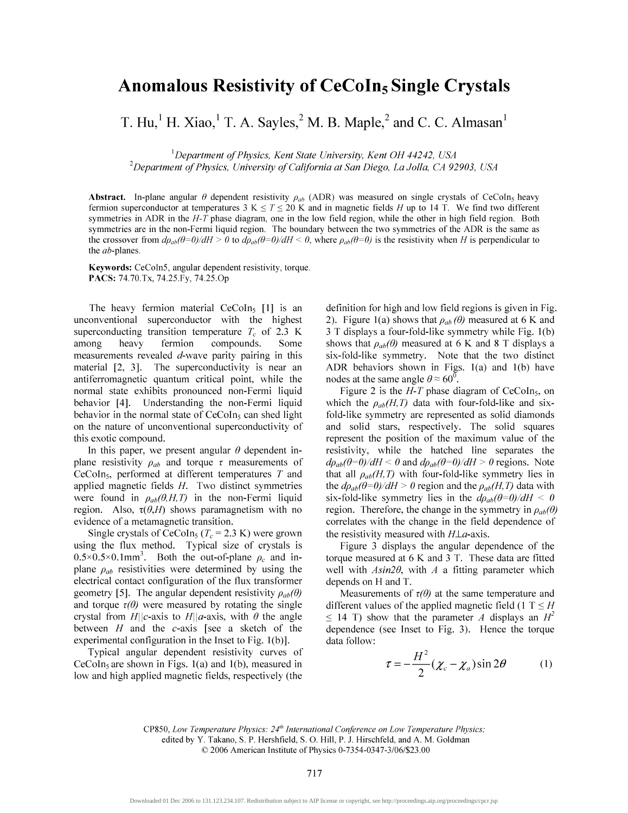## **Anomalous Resistivity of CeCoIn5 Single Crystals**

T. Hu,<sup>1</sup> H. Xiao,<sup>1</sup> T. A. Sayles,<sup>2</sup> M. B. Maple,<sup>2</sup> and C. C. Almasan<sup>1</sup>

*1 Department of Physics, Kent State University, Kent OH 44242, USA 2 Department of Physics, University of California at San Diego, LaJolla, CA 92903, USA* 

**Abstract.** In-plane angular  $\theta$  dependent resistivity  $\rho_{ab}$  (ADR) was measured on single crystals of CeCoIn<sub>5</sub> heavy fermion superconductor at temperatures  $3 K \le T \le 20 K$  and in magnetic fields *H* up to 14 T. We find two different symmetries in ADR in the *H-T* phase diagram, one in the low field region, while the other in high field region. Both symmetries are in the non-Fermi liquid region. The boundary between the two symmetries of the ADR is the same as the crossover from  $d\rho_{ab}(\theta=0)/dH > 0$  to  $d\rho_{ab}(\theta=0)/dH < 0$ , where  $\rho_{ab}(\theta=0)$  is the resistivity when *H* is perpendicular to the *ab*-planes.

**Keywords:** CeColn5, angular dependent resistivity, torque. PACS: 74.70.Tx, 74.25.Fy, 74.25.Op

The heavy fermion material CeCoIn<sub>5</sub>  $[1]$  is an unconventional superconductor with the highest superconducting transition temperature  $T_c$  of 2.3 K among heavy fermion compounds. Some measurements revealed  $d$ -wave parity pairing in this material [2, 3]. The superconductivity is near an antiferromagnetic quantum critical point, while the normal state exhibits pronounced non-Fermi liquid behavior [4]. Understanding the non-Fermi liquid behavior in the normal state of  $CeCoIn<sub>5</sub>$  can shed light on the nature of unconventional superconductivity of this exotic compound.

In this paper, we present angular  $\theta$  dependent inplane resistivity  $\rho_{ab}$  and torque  $\tau$  measurements of CeCoIn5, performed at different temperatures *T* and applied magnetic fields *H.* Two distinct symmetries were found in  $\rho_{ab}(\theta, H, T)$  in the non-Fermi liquid region. Also,  $\tau(\theta, H)$  shows paramagnetism with no evidence of a metamagnetic transition.

Single crystals of CeCoIn<sub>5</sub> ( $T_c$  = 2.3 K) were grown using the flux method. Typical size of crystals is  $0.5 \times 0.5 \times 0.1$ mm<sup>3</sup>. Both the out-of-plane  $\rho_c$  and inplane  $\rho_{ab}$  resistivities were determined by using the electrical contact configuration of the flux transformer geometry [5]. The angular dependent resistivity  $\rho_{ab}(\theta)$ and torque  $\tau(\theta)$  were measured by rotating the single crystal from  $H||c$ -axis to  $H||a$ -axis, with  $\theta$  the angle between *H* and the c-axis [see a sketch of the experimental configuration in the Inset to Fig. 1(b)].

Typical angular dependent resistivity curves of  $CeCoIn<sub>5</sub>$  are shown in Figs. 1(a) and 1(b), measured in low and high applied magnetic fields, respectively (the

definition for high and low field regions is given in Fig. 2). Figure 1(a) shows that  $\rho_{ab}(\theta)$  measured at 6 K and 3 T displays a four-fold-like symmetry while Fig. 1(b) shows that  $\rho_{ab}(\theta)$  measured at 6 K and 8 T displays a six-fold-like symmetry. Note that the two distinct ADR behaviors shown in Figs. 1(a) and 1(b) have nodes at the same angle  $\theta \approx 60^{\circ}$ .

Figure 2 is the  $H-T$  phase diagram of CeCoIn<sub>5</sub>, on which the  $\rho_{ab}(H,T)$  data with four-fold-like and sixfold-like symmetry are represented as solid diamonds and solid stars, respectively. The solid squares represent the position of the maximum value of the resistivity, while the hatched line separates the  $d\rho_{ab}(\theta=0)/dH < 0$  and  $d\rho_{ab}(\theta=0)/dH > 0$  regions. Note that all  $\rho_{ab}(H,T)$  with four-fold-like symmetry lies in the  $d\rho_{ab}(\theta=0)/dH > 0$  region and the  $\rho_{ab}(H, T)$  data with six-fold-like symmetry lies in the  $d\rho_{ab}(\theta=0)/dH < 0$ region. Therefore, the change in the symmetry in  $\rho_{ab}(\theta)$ correlates with the change in the field dependence of the resistivity measured with  $H\perp a$ -axis.

Figure 3 displays the angular dependence of the torque measured at 6 K and 3 T. These data are fitted well with *Asin20,* with *A* a fitting parameter which depends on H and T.

Measurements of  $\tau(\theta)$  at the same temperature and different values of the applied magnetic field  $(1 T \leq H)$  $\leq$  14 T) show that the parameter *A* displays an  $H^2$ dependence (see Inset to Fig. 3). Hence the torque data follow:

$$
\tau = -\frac{H^2}{2} (\chi_c - \chi_a) \sin 2\theta \tag{1}
$$

CP850, *Low Temperature Physics: 24th International Conference on Low Temperature Physics;*  edited by Y. Takano, S. P. Hershfield, S. O. Hill, P. J. Hirschfeld, and A. M. Goldman © 2006 American Institute of Physics 0-7354-0347-3/06/\$23.00